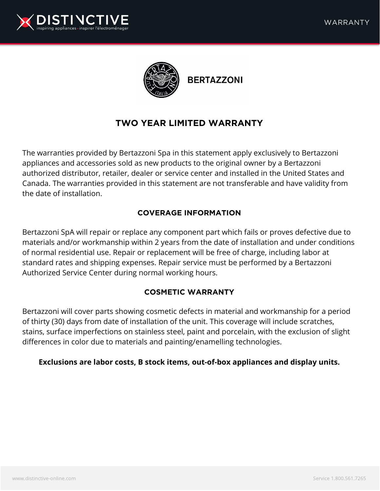



**BERTAZZONI** 

# **TWO YEAR LIMITED WARRANTY**

The warranties provided by Bertazzoni Spa in this statement apply exclusively to Bertazzoni appliances and accessories sold as new products to the original owner by a Bertazzoni authorized distributor, retailer, dealer or service center and installed in the United States and Canada. The warranties provided in this statement are not transferable and have validity from the date of installation.

## **COVERAGE INFORMATION**

Bertazzoni SpA will repair or replace any component part which fails or proves defective due to materials and/or workmanship within 2 years from the date of installation and under conditions of normal residential use. Repair or replacement will be free of charge, including labor at standard rates and shipping expenses. Repair service must be performed by a Bertazzoni Authorized Service Center during normal working hours.

### **COSMETIC WARRANTY**

Bertazzoni will cover parts showing cosmetic defects in material and workmanship for a period of thirty (30) days from date of installation of the unit. This coverage will include scratches, stains, surface imperfections on stainless steel, paint and porcelain, with the exclusion of slight differences in color due to materials and painting/enamelling technologies.

#### **Exclusions are labor costs, B stock items, out-of-box appliances and display units.**